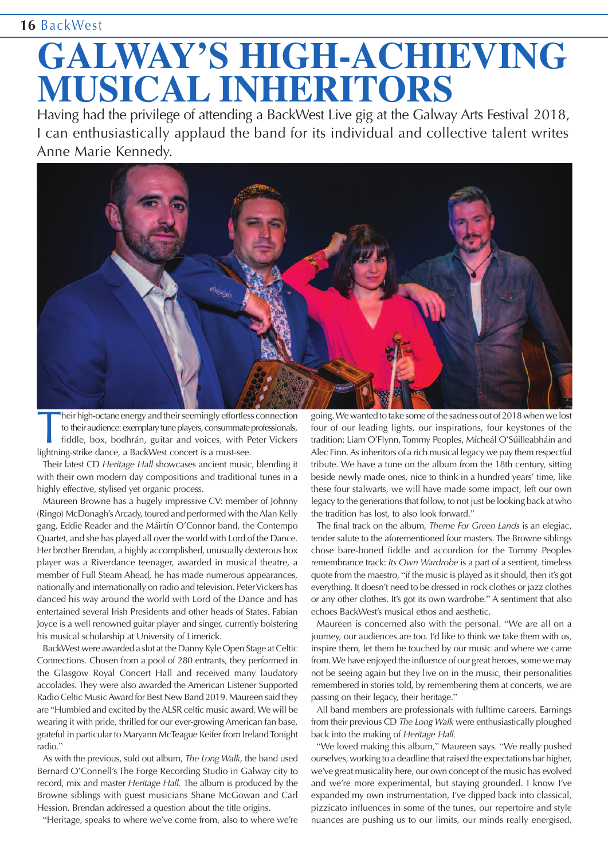## **16** BackWest

## **GALWAY'S HIGH-ACHIEVING MUSICAL INHERITORS**

Having had the privilege of attending a BackWest Live gig at the Galway Arts Festival 2018, I can enthusiastically applaud the band for its individual and collective talent writes Anne Marie Kennedy.



Their high-octane energy and their seemingly effortles<br>to their audience: exemplary tune players, consummate<br>fiddle, box, bodhrán, guitar and voices, with P<br>lightning-strike dance, a BackWest concert is a must-see. heir high-octane energy and their seemingly effortless connection to their audience: exemplary tune players, consummate professionals, fiddle, box, bodhrán, guitar and voices, with Peter Vickers

Their latest CD *Heritage Hall* showcases ancient music, blending it with their own modern day compositions and traditional tunes in a highly effective, stylised yet organic process.

Maureen Browne has a hugely impressive CV: member of Johnny (Ringo) McDonagh's Arcady, toured and performed with the Alan Kelly gang, Eddie Reader and the Máirtín O'Connor band, the Contempo Quartet, and she has played all over the world with Lord of the Dance. Her brother Brendan, a highly accomplished, unusually dexterous box player was a Riverdance teenager, awarded in musical theatre, a member of Full Steam Ahead, he has made numerous appearances, nationally and internationally on radio and television. PeterVickers has danced his way around the world with Lord of the Dance and has entertained several Irish Presidents and other heads of States. Fabian Joyce is a well renowned guitar player and singer, currently bolstering his musical scholarship at University of Limerick.

BackWest were awarded a slot at the Danny Kyle Open Stage at Celtic Connections. Chosen from a pool of 280 entrants, they performed in the Glasgow Royal Concert Hall and received many laudatory accolades. They were also awarded the American Listener Supported Radio Celtic MusicAward for Best New Band 2019. Maureen said they are "Humbled and excited by theALSR celtic music award.We will be wearing it with pride, thrilled for our ever-growing American fan base, grateful in particular to Maryann McTeague Keifer from IrelandTonight radio."

As with the previous, sold out album, *The Long Walk,* the band used Bernard O'Connell's The Forge Recording Studio in Galway city to record, mix and master *Heritage Hall.* The album is produced by the Browne siblings with guest musicians Shane McGowan and Carl Hession. Brendan addressed a question about the title origins.

"Heritage, speaks to where we've come from, also to where we're

going.Wewanted to take some of the sadness out of 2018whenwe lost four of our leading lights, our inspirations, four keystones of the tradition: Liam O'Flynn, Tommy Peoples, Mícheál O'Súilleabháin and Alec Finn. As inheritors of a rich musical legacy we pay them respectful tribute. We have a tune on the album from the 18th century, sitting beside newly made ones, nice to think in a hundred years' time, like these four stalwarts, we will have made some impact, left our own legacy to the generations that follow, to not just be looking back at who the tradition has lost, to also look forward."

The final track on the album, *Theme For Green Lands* is an elegiac, tender salute to the aforementioned four masters. The Browne siblings chose bare-boned fiddle and accordion for the Tommy Peoples remembrance track: *Its Own Wardrobe* is a part of a sentient, timeless quote from the maestro, "if the music is played as it should, then it's got everything. It doesn't need to be dressed in rock clothes or jazz clothes or any other clothes. It's got its own wardrobe." A sentiment that also echoes BackWest's musical ethos and aesthetic.

Maureen is concerned also with the personal. "We are all on a journey, our audiences are too. I'd like to think we take them with us, inspire them, let them be touched by our music and where we came from. We have enjoyed the influence of our great heroes, some we may not be seeing again but they live on in the music, their personalities remembered in stories told, by remembering them at concerts, we are passing on their legacy, their heritage."

All band members are professionals with fulltime careers. Earnings from their previous CD *The Long Walk* were enthusiastically ploughed back into the making of *Heritage Hall.*

"We loved making this album," Maureen says. "We really pushed ourselves, working to a deadline that raised the expectations bar higher, we've great musicality here, our own concept of the music has evolved and we're more experimental, but staying grounded. I know I've expanded my own instrumentation, I've dipped back into classical, pizzicato influences in some of the tunes, our repertoire and style nuances are pushing us to our limits, our minds really energised,